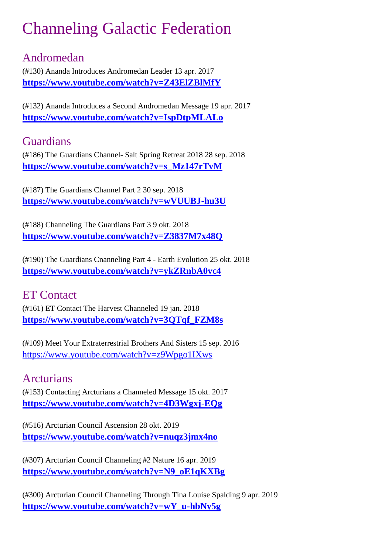# Channeling Galactic Federation

## Andromedan

(#130) Ananda Introduces Andromedan Leader 13 apr. 2017 **<https://www.youtube.com/watch?v=Z43ElZBlMfY>**

(#132) Ananda Introduces a Second Andromedan Message 19 apr. 2017 **<https://www.youtube.com/watch?v=IspDtpMLALo>**

## Guardians

(#186) The Guardians Channel- Salt Spring Retreat 2018 28 sep. 2018 **[https://www.youtube.com/watch?v=s\\_Mz147rTvM](https://www.youtube.com/watch?v=s_Mz147rTvM)**

(#187) The Guardians Channel Part 2 30 sep. 2018 **<https://www.youtube.com/watch?v=wVUUBJ-hu3U>**

(#188) Channeling The Guardians Part 3 9 okt. 2018 **<https://www.youtube.com/watch?v=Z3837M7x48Q>**

(#190) The Guardians Cnanneling Part 4 - Earth Evolution 25 okt. 2018 **<https://www.youtube.com/watch?v=ykZRnbA0vc4>**

### ET Contact

(#161) ET Contact The Harvest Channeled 19 jan. 2018 **[https://www.youtube.com/watch?v=3QTqf\\_FZM8s](https://www.youtube.com/watch?v=3QTqf_FZM8s)**

(#109) Meet Your Extraterrestrial Brothers And Sisters 15 sep. 2016 <https://www.youtube.com/watch?v=z9Wpgo1IXws>

### Arcturians

(#153) Contacting Arcturians a Channeled Message 15 okt. 2017 **<https://www.youtube.com/watch?v=4D3Wgxj-EQg>**

(#516) Arcturian Council Ascension 28 okt. 2019 **<https://www.youtube.com/watch?v=nuqz3jmx4no>**

(#307) Arcturian Council Channeling #2 Nature 16 apr. 2019 **[https://www.youtube.com/watch?v=N9\\_oE1qKXBg](https://www.youtube.com/watch?v=N9_oE1qKXBg)**

(#300) Arcturian Council Channeling Through Tina Louise Spalding 9 apr. 2019 **[https://www.youtube.com/watch?v=wY\\_u-hbNy5g](https://www.youtube.com/watch?v=wY_u-hbNy5g)**